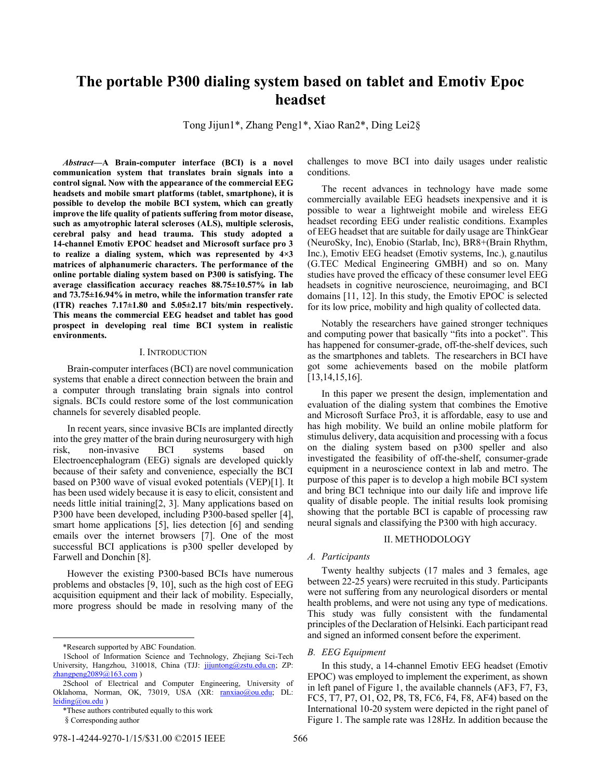# **The portable P300 dialing system based on tablet and Emotiv Epoc headset**

Tong Jijun1\*, Zhang Peng1\*, Xiao Ran2\*, Ding Lei2§

*Abstract***—A Brain-computer interface (BCI) is a novel communication system that translates brain signals into a control signal. Now with the appearance of the commercial EEG headsets and mobile smart platforms (tablet, smartphone), it is possible to develop the mobile BCI system, which can greatly improve the life quality of patients suffering from motor disease, such as amyotrophic lateral scleroses (ALS), multiple sclerosis, cerebral palsy and head trauma. This study adopted a 14-channel Emotiv EPOC headset and Microsoft surface pro 3 to realize a dialing system, which was represented by 4×3 matrices of alphanumeric characters. The performance of the online portable dialing system based on P300 is satisfying. The average classification accuracy reaches 88.75±10.57% in lab and 73.75±16.94% in metro, while the information transfer rate (ITR) reaches 7.17±1.80 and 5.05±2.17 bits/min respectively. This means the commercial EEG headset and tablet has good prospect in developing real time BCI system in realistic environments.**

## I. INTRODUCTION

Brain-computer interfaces (BCI) are novel communication systems that enable a direct connection between the brain and a computer through translating brain signals into control signals. BCIs could restore some of the lost communication channels for severely disabled people.

In recent years, since invasive BCIs are implanted directly into the grey matter of the brain during neurosurgery with high risk, non-invasive BCI systems based on Electroencephalogram (EEG) signals are developed quickly because of their safety and convenience, especially the BCI based on P300 wave of visual evoked potentials (VEP)[1]. It has been used widely because it is easy to elicit, consistent and needs little initial training[2, 3]. Many applications based on P300 have been developed, including P300-based speller [4], smart home applications [5], lies detection [6] and sending emails over the internet browsers [7]. One of the most successful BCI applications is p300 speller developed by Farwell and Donchin [8].

However the existing P300-based BCIs have numerous problems and obstacles [9, 10], such as the high cost of EEG acquisition equipment and their lack of mobility. Especially, more progress should be made in resolving many of the

 $\overline{a}$ 

challenges to move BCI into daily usages under realistic conditions.

The recent advances in technology have made some commercially available EEG headsets inexpensive and it is possible to wear a lightweight mobile and wireless EEG headset recording EEG under realistic conditions. Examples of EEG headset that are suitable for daily usage are ThinkGear (NeuroSky, Inc), Enobio (Starlab, Inc), BR8+(Brain Rhythm, Inc.), Emotiv EEG headset (Emotiv systems, Inc.), g.nautilus (G.TEC Medical Engineering GMBH) and so on. Many studies have proved the efficacy of these consumer level EEG headsets in cognitive neuroscience, neuroimaging, and BCI domains [11, 12]. In this study, the Emotiv EPOC is selected for its low price, mobility and high quality of collected data.

Notably the researchers have gained stronger techniques and computing power that basically "fits into a pocket". This has happened for consumer-grade, off-the-shelf devices, such as the smartphones and tablets. The researchers in BCI have got some achievements based on the mobile platform [13,14,15,16].

In this paper we present the design, implementation and evaluation of the dialing system that combines the Emotive and Microsoft Surface Pro3, it is affordable, easy to use and has high mobility. We build an online mobile platform for stimulus delivery, data acquisition and processing with a focus on the dialing system based on p300 speller and also investigated the feasibility of off-the-shelf, consumer-grade equipment in a neuroscience context in lab and metro. The purpose of this paper is to develop a high mobile BCI system and bring BCI technique into our daily life and improve life quality of disable people. The initial results look promising showing that the portable BCI is capable of processing raw neural signals and classifying the P300 with high accuracy.

## II. METHODOLOGY

## *A. Participants*

Twenty healthy subjects (17 males and 3 females, age between 22-25 years) were recruited in this study. Participants were not suffering from any neurological disorders or mental health problems, and were not using any type of medications. This study was fully consistent with the fundamental principles of the Declaration of Helsinki. Each participant read and signed an informed consent before the experiment.

## *B. EEG Equipment*

In this study, a 14-channel Emotiv EEG headset (Emotiv EPOC) was employed to implement the experiment, as shown in left panel of Figure 1, the available channels (AF3, F7, F3, FC5, T7, P7, O1, O2, P8, T8, FC6, F4, F8, AF4) based on the International 10-20 system were depicted in the right panel of Figure 1. The sample rate was 128Hz. In addition because the

<sup>\*</sup>Research supported by ABC Foundation.

<sup>1</sup>School of Information Science and Technology, Zhejiang Sci-Tech University, Hangzhou, 310018, China (TJJ: jijuntong@zstu.edu.cn; ZP: zhangpeng $2089@163.com$ )

<sup>2</sup>School of Electrical and Computer Engineering, University of Oklahoma, Norman, OK, 73019, USA (XR: ranxiao@ou.edu; DL: leiding@ou.edu )

<sup>\*</sup>These authors contributed equally to this work

<sup>§</sup>Corresponding author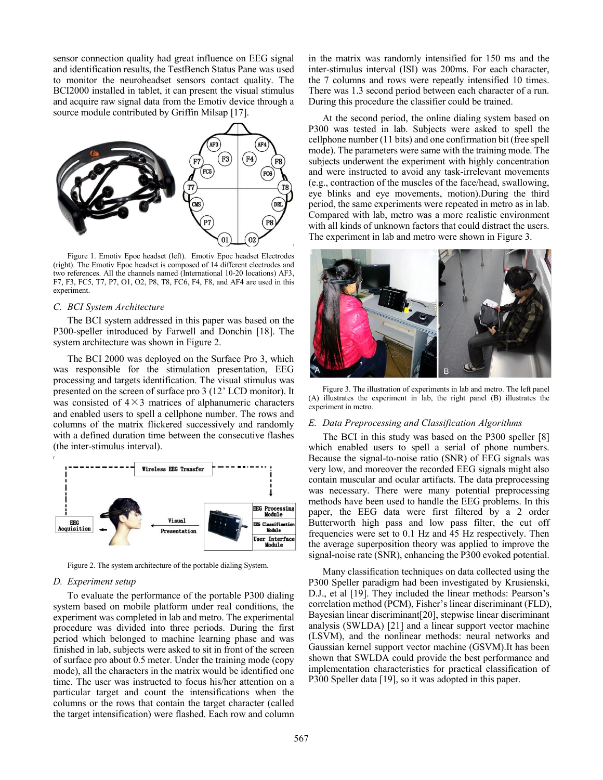sensor connection quality had great influence on EEG signal and identification results, the TestBench Status Pane was used to monitor the neuroheadset sensors contact quality. The BCI2000 installed in tablet, it can present the visual stimulus and acquire raw signal data from the Emotiv device through a source module contributed by Griffin Milsap [17].



Figure 1. Emotiv Epoc headset (left). Emotiv Epoc headset Electrodes (right). The Emotiv Epoc headset is composed of 14 different electrodes and two references. All the channels named (International 10-20 locations) AF3, F7, F3, FC5, T7, P7, O1, O2, P8, T8, FC6, F4, F8, and AF4 are used in this experiment.

## *C. BCI System Architecture*

The BCI system addressed in this paper was based on the P300-speller introduced by Farwell and Donchin [18]. The system architecture was shown in Figure 2.

The BCI 2000 was deployed on the Surface Pro 3, which was responsible for the stimulation presentation, EEG processing and targets identification. The visual stimulus was presented on the screen of surface pro 3 (12' LCD monitor). It was consisted of  $4\times3$  matrices of alphanumeric characters and enabled users to spell a cellphone number. The rows and columns of the matrix flickered successively and randomly with a defined duration time between the consecutive flashes (the inter-stimulus interval).



Figure 2. The system architecture of the portable dialing System.

## *D. Experiment setup*

To evaluate the performance of the portable P300 dialing system based on mobile platform under real conditions, the experiment was completed in lab and metro. The experimental procedure was divided into three periods. During the first period which belonged to machine learning phase and was finished in lab, subjects were asked to sit in front of the screen of surface pro about 0.5 meter. Under the training mode (copy mode), all the characters in the matrix would be identified one time. The user was instructed to focus his/her attention on a particular target and count the intensifications when the columns or the rows that contain the target character (called the target intensification) were flashed. Each row and column in the matrix was randomly intensified for 150 ms and the inter-stimulus interval (ISI) was 200ms. For each character, the 7 columns and rows were repeatly intensified 10 times. There was 1.3 second period between each character of a run. During this procedure the classifier could be trained.

At the second period, the online dialing system based on P300 was tested in lab. Subjects were asked to spell the cellphone number (11 bits) and one confirmation bit (free spell mode). The parameters were same with the training mode. The subjects underwent the experiment with highly concentration and were instructed to avoid any task-irrelevant movements (e.g., contraction of the muscles of the face/head, swallowing, eye blinks and eye movements, motion).During the third period, the same experiments were repeated in metro as in lab. Compared with lab, metro was a more realistic environment with all kinds of unknown factors that could distract the users. The experiment in lab and metro were shown in Figure 3.



Figure 3. The illustration of experiments in lab and metro. The left panel (A) illustrates the experiment in lab, the right panel (B) illustrates the experiment in metro.

### *E. Data Preprocessing and Classification Algorithms*

The BCI in this study was based on the P300 speller [8] which enabled users to spell a serial of phone numbers. Because the signal-to-noise ratio (SNR) of EEG signals was very low, and moreover the recorded EEG signals might also contain muscular and ocular artifacts. The data preprocessing was necessary. There were many potential preprocessing methods have been used to handle the EEG problems. In this paper, the EEG data were first filtered by a 2 order Butterworth high pass and low pass filter, the cut off frequencies were set to 0.1 Hz and 45 Hz respectively. Then the average superposition theory was applied to improve the signal-noise rate (SNR), enhancing the P300 evoked potential.

Many classification techniques on data collected using the P300 Speller paradigm had been investigated by Krusienski, D.J., et al [19]. They included the linear methods: Pearson's correlation method (PCM), Fisher's linear discriminant (FLD), Bayesian linear discriminant[20], stepwise linear discriminant analysis (SWLDA) [21] and a linear support vector machine (LSVM), and the nonlinear methods: neural networks and Gaussian kernel support vector machine (GSVM).It has been shown that SWLDA could provide the best performance and implementation characteristics for practical classification of P300 Speller data [19], so it was adopted in this paper.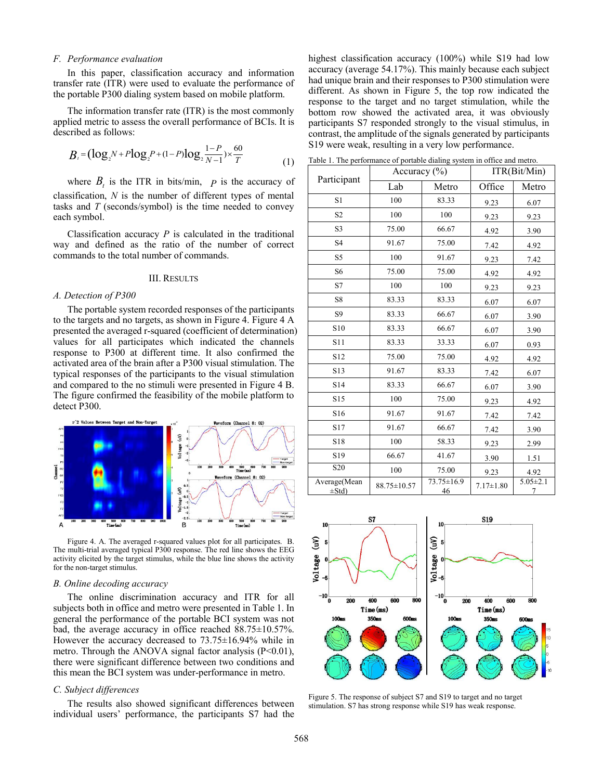## *F. Performance evaluation*

In this paper, classification accuracy and information transfer rate (ITR) were used to evaluate the performance of the portable P300 dialing system based on mobile platform.

The information transfer rate (ITR) is the most commonly applied metric to assess the overall performance of BCIs. It is described as follows:

need metric to assess the overall performance of BCIs. It is  
cribed as follows:  

$$
B_t = (\log_2 N + P \log_2 P + (1 - P) \log_2 \frac{1 - P}{N - 1}) \times \frac{60}{T}
$$
(1)

where  $B_t$  is the ITR in bits/min,  $P$  is the accuracy of classification, *N* is the number of different types of mental tasks and *T* (seconds/symbol) is the time needed to convey each symbol.

Classification accuracy *P* is calculated in the traditional way and defined as the ratio of the number of correct commands to the total number of commands.

## III. RESULTS

#### *A. Detection of P300*

The portable system recorded responses of the participants to the targets and no targets, as shown in Figure 4. Figure 4 A presented the averaged r-squared (coefficient of determination) values for all participates which indicated the channels response to P300 at different time. It also confirmed the activated area of the brain after a P300 visual stimulation. The typical responses of the participants to the visual stimulation and compared to the no stimuli were presented in Figure 4 B. The figure confirmed the feasibility of the mobile platform to detect P300.



Figure 4. A. The averaged r-squared values plot for all participates. B. The multi-trial averaged typical P300 response. The red line shows the EEG activity elicited by the target stimulus, while the blue line shows the activity for the non-target stimulus.

#### *B. Online decoding accuracy*

The online discrimination accuracy and ITR for all subjects both in office and metro were presented in Table 1. In general the performance of the portable BCI system was not bad, the average accuracy in office reached 88.75±10.57%. However the accuracy decreased to 73.75±16.94% while in metro. Through the ANOVA signal factor analysis  $(P<0.01)$ , there were significant difference between two conditions and this mean the BCI system was under-performance in metro.

## *C. Subject differences*

The results also showed significant differences between individual users' performance, the participants S7 had the highest classification accuracy (100%) while S19 had low accuracy (average 54.17%). This mainly because each subject had unique brain and their responses to P300 stimulation were different. As shown in Figure 5, the top row indicated the response to the target and no target stimulation, while the bottom row showed the activated area, it was obviously participants S7 responded strongly to the visual stimulus, in contrast, the amplitude of the signals generated by participants S19 were weak, resulting in a very low performance.

Table 1. The performance of portable dialing system in office and metro.

| Participant                | Accuracy $(\% )$ |                  | ITR(Bit/Min)    |                     |
|----------------------------|------------------|------------------|-----------------|---------------------|
|                            | Lab              | Metro            | Office          | Metro               |
| S1                         | 100              | 83.33            | 9.23            | 6.07                |
| S <sub>2</sub>             | 100              | 100              | 9.23            | 9.23                |
| S <sub>3</sub>             | 75.00            | 66.67            | 4.92            | 3.90                |
| S <sub>4</sub>             | 91.67            | 75.00            | 7.42            | 4.92                |
| S5                         | 100              | 91.67            | 9.23            | 7.42                |
| S <sub>6</sub>             | 75.00            | 75.00            | 4.92            | 4.92                |
| S7                         | 100              | 100              | 9.23            | 9.23                |
| S8                         | 83.33            | 83.33            | 6.07            | 6.07                |
| S9                         | 83.33            | 66.67            | 6.07            | 3.90                |
| S10                        | 83.33            | 66.67            | 6.07            | 3.90                |
| S11                        | 83.33            | 33.33            | 6.07            | 0.93                |
| S12                        | 75.00            | 75.00            | 4.92            | 4.92                |
| S13                        | 91.67            | 83.33            | 7.42            | 6.07                |
| S14                        | 83.33            | 66.67            | 6.07            | 3.90                |
| S15                        | 100              | 75.00            | 9.23            | 4.92                |
| S16                        | 91.67            | 91.67            | 7.42            | 7.42                |
| S17                        | 91.67            | 66.67            | 7.42            | 3.90                |
| S18                        | 100              | 58.33            | 9.23            | 2.99                |
| S <sub>19</sub>            | 66.67            | 41.67            | 3.90            | 1.51                |
| $\overline{S}20$           | 100              | 75.00            | 9.23            | 4.92                |
| Average(Mean<br>$\pm$ Std) | 88.75±10.57      | 73.75±16.9<br>46 | $7.17 \pm 1.80$ | $5.05 \pm 2.1$<br>7 |



Figure 5. The response of subject S7 and S19 to target and no target stimulation. S7 has strong response while S19 has weak response.